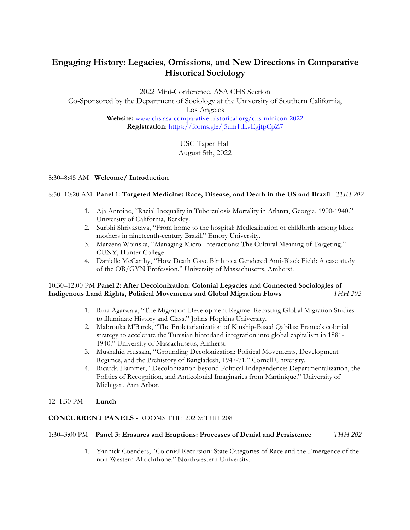# **Engaging History: Legacies, Omissions, and New Directions in Comparative Historical Sociology**

2022 Mini-Conference, ASA CHS Section

Co-Sponsored by the Department of Sociology at the University of Southern California, Los Angeles **Website:** www.chs.asa-comparative-historical.org/chs-minicon-2022 **Registration**: https://forms.gle/j5um1tEvEgjfpCpZ7

> USC Taper Hall August 5th, 2022

#### 8:30–8:45 AM **Welcome/ Introduction**

## 8:50–10:20 AM **Panel 1: Targeted Medicine: Race, Disease, and Death in the US and Brazil** *THH 202*

- 1. Aja Antoine, "Racial Inequality in Tuberculosis Mortality in Atlanta, Georgia, 1900-1940." University of California, Berkley.
- 2. Surbhi Shrivastava, "From home to the hospital: Medicalization of childbirth among black mothers in nineteenth-century Brazil." Emory University.
- 3. Marzena Woinska, "Managing Micro-Interactions: The Cultural Meaning of Targeting." CUNY, Hunter College.
- 4. Danielle McCarthy, "How Death Gave Birth to a Gendered Anti-Black Field: A case study of the OB/GYN Profession." University of Massachusetts, Amherst.

## 10:30–12:00 PM **Panel 2: After Decolonization: Colonial Legacies and Connected Sociologies of Indigenous Land Rights, Political Movements and Global Migration Flows** *THH 202*

- 1. Rina Agarwala, "The Migration-Development Regime: Recasting Global Migration Studies to illuminate History and Class." Johns Hopkins University.
- 2. Mabrouka M'Barek, "The Proletarianization of Kinship-Based Qabilas: France's colonial strategy to accelerate the Tunisian hinterland integration into global capitalism in 1881- 1940." University of Massachusetts, Amherst.
- 3. Mushahid Hussain, "Grounding Decolonization: Political Movements, Development Regimes, and the Prehistory of Bangladesh, 1947-71." Cornell University.
- 4. Ricarda Hammer, "Decolonization beyond Political Independence: Departmentalization, the Politics of Recognition, and Anticolonial Imaginaries from Martinique." University of Michigan, Ann Arbor.
- 12–1:30 PM **Lunch**

#### **CONCURRENT PANELS -** ROOMS THH 202 & THH 208

#### 1:30–3:00 PM **Panel 3: Erasures and Eruptions: Processes of Denial and Persistence** *THH 202*

1. Yannick Coenders, "Colonial Recursion: State Categories of Race and the Emergence of the non-Western Allochthone." Northwestern University.